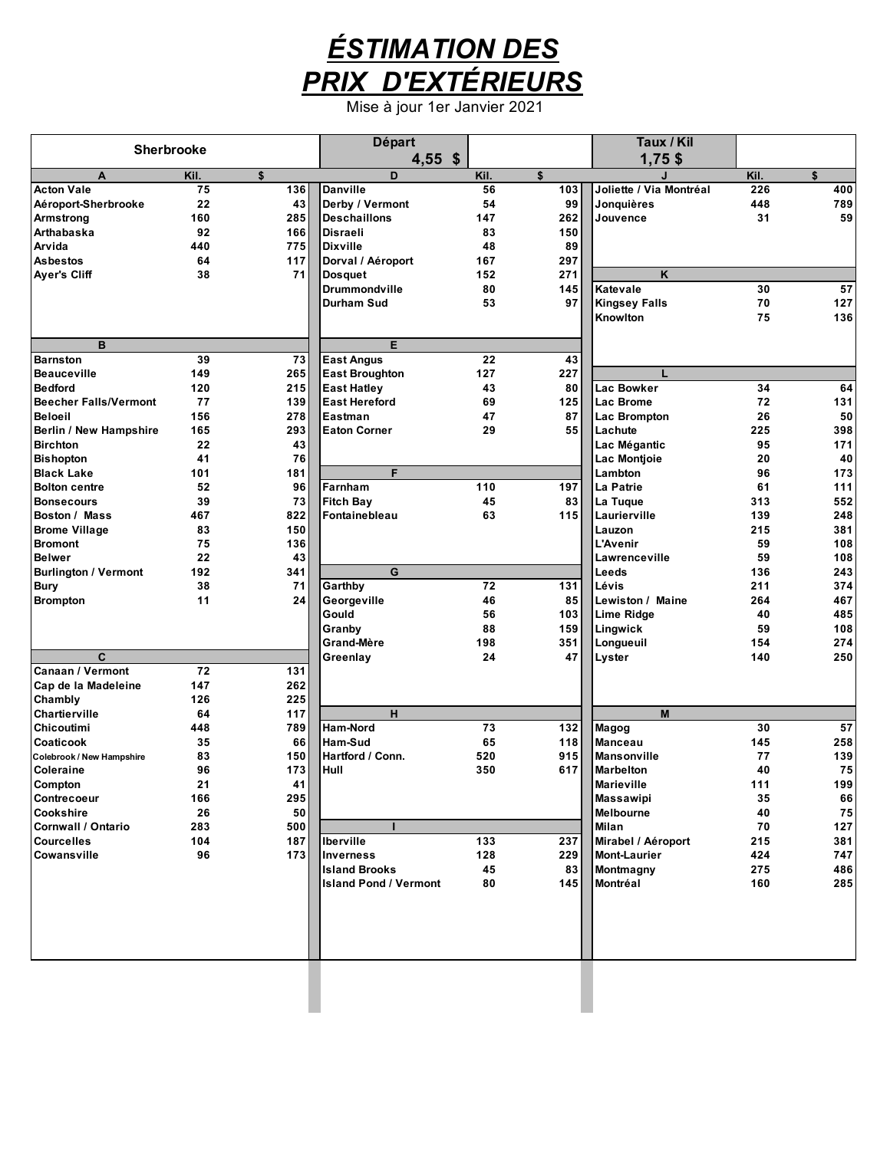

Mise à jour 1er Janvier 2021

|                               | Sherbrooke |     | <b>Départ</b>                          |          |           | Taux / Kil                       |          |     |
|-------------------------------|------------|-----|----------------------------------------|----------|-----------|----------------------------------|----------|-----|
|                               |            |     | $4,55$ \$                              |          |           | $1,75$ \$                        |          |     |
| A                             | Kil.       | \$  | D                                      | Kil.     | \$        |                                  | Kil.     | \$  |
| <b>Acton Vale</b>             | 75         | 136 | <b>Danville</b>                        | 56       | 103       | Joliette / Via Montréal          | 226      | 400 |
| Aéroport-Sherbrooke           | 22         | 43  | Derby / Vermont                        | 54       | 99        | Jonquières                       | 448      | 789 |
| Armstrong                     | 160        | 285 | <b>Deschaillons</b>                    | 147      | 262       | Jouvence                         | 31       | 59  |
| Arthabaska                    | 92         | 166 | <b>Disraeli</b>                        | 83       | 150       |                                  |          |     |
| Arvida                        | 440        | 775 | <b>Dixville</b>                        | 48       | 89        |                                  |          |     |
| <b>Asbestos</b>               | 64         | 117 | Dorval / Aéroport                      | 167      | 297       | K                                |          |     |
| <b>Ayer's Cliff</b>           | 38         | 71  | <b>Dosquet</b><br><b>Drummondville</b> | 152      | 271       | Katevale                         |          | 57  |
|                               |            |     | <b>Durham Sud</b>                      | 80<br>53 | 145<br>97 |                                  | 30<br>70 | 127 |
|                               |            |     |                                        |          |           | <b>Kingsey Falls</b><br>Knowlton | 75       | 136 |
|                               |            |     |                                        |          |           |                                  |          |     |
| B                             |            |     | Е                                      |          |           |                                  |          |     |
| <b>Barnston</b>               | 39         | 73  | <b>East Angus</b>                      | 22       | 43        |                                  |          |     |
| <b>Beauceville</b>            | 149        | 265 | <b>East Broughton</b>                  | 127      | 227       | L                                |          |     |
| <b>Bedford</b>                | 120        | 215 | <b>East Hatley</b>                     | 43       | 80        | Lac Bowker                       | 34       | 64  |
| <b>Beecher Falls/Vermont</b>  | 77         | 139 | <b>East Hereford</b>                   | 69       | 125       | Lac Brome                        | 72       | 131 |
| <b>Beloeil</b>                | 156        | 278 | Eastman                                | 47       | 87        | Lac Brompton                     | 26       | 50  |
| <b>Berlin / New Hampshire</b> | 165        | 293 | <b>Eaton Corner</b>                    | 29       | 55        | Lachute                          | 225      | 398 |
| <b>Birchton</b>               | 22         | 43  |                                        |          |           | Lac Mégantic                     | 95       | 171 |
| <b>Bishopton</b>              | 41         | 76  |                                        |          |           | Lac Montioie                     | 20       | 40  |
| <b>Black Lake</b>             | 101        | 181 | F                                      |          |           | Lambton                          | 96       | 173 |
| <b>Bolton centre</b>          | 52         | 96  | Farnham                                | 110      | 197       | La Patrie                        | 61       | 111 |
| <b>Bonsecours</b>             | 39         | 73  | <b>Fitch Bay</b>                       | 45       | 83        | La Tuque                         | 313      | 552 |
| Boston / Mass                 | 467        | 822 | Fontainebleau                          | 63       | 115       | Laurierville                     | 139      | 248 |
| <b>Brome Village</b>          | 83         | 150 |                                        |          |           | Lauzon                           | 215      | 381 |
| <b>Bromont</b>                | 75         | 136 |                                        |          |           | <b>L'Avenir</b>                  | 59       | 108 |
| <b>Belwer</b>                 | 22         | 43  |                                        |          |           | Lawrenceville                    | 59       | 108 |
| <b>Burlington / Vermont</b>   | 192        | 341 | G                                      |          |           | Leeds                            | 136      | 243 |
| <b>Bury</b>                   | 38         | 71  | Garthby                                | 72       | 131       | Lévis                            | 211      | 374 |
| <b>Brompton</b>               | 11         | 24  | Georgeville                            | 46       | 85        | Lewiston / Maine                 | 264      | 467 |
|                               |            |     | Gould                                  | 56       | 103       | <b>Lime Ridge</b>                | 40       | 485 |
|                               |            |     | Granby                                 | 88       | 159       | Lingwick                         | 59       | 108 |
|                               |            |     | Grand-Mère                             | 198      | 351       | Longueuil                        | 154      | 274 |
| $\mathbf c$                   |            |     | Greenlay                               | 24       | 47        | Lyster                           | 140      | 250 |
| <b>Canaan / Vermont</b>       | 72         | 131 |                                        |          |           |                                  |          |     |
| Cap de la Madeleine           | 147        | 262 |                                        |          |           |                                  |          |     |
| Chambly                       | 126        | 225 |                                        |          |           |                                  |          |     |
| Chartierville                 | 64         | 117 | н                                      |          |           | M                                |          |     |
| <b>Chicoutimi</b>             | 448        | 789 | Ham-Nord                               | 73       | 132       | Magog                            | 30       | 57  |
| Coaticook                     | 35         | 66  | Ham-Sud                                | 65       | 118       | <b>Manceau</b>                   | 145      | 258 |
| Colebrook / New Hampshire     | 83         | 150 | Hartford / Conn.                       | 520      | 915       | <b>Mansonville</b>               | 77       | 139 |
| Coleraine                     | 96         | 173 | Hull                                   | 350      | 617       | <b>Marbelton</b>                 | 40       | 75  |
| Compton                       | 21         | 41  |                                        |          |           | <b>Marieville</b>                | 111      | 199 |
| Contrecoeur                   | 166        | 295 |                                        |          |           | <b>Massawipi</b>                 | 35       | 66  |
| Cookshire                     | 26         | 50  |                                        |          |           | <b>Melbourne</b>                 | 40       | 75  |
| <b>Cornwall / Ontario</b>     | 283        | 500 |                                        |          |           | Milan                            | 70       | 127 |
| <b>Courcelles</b>             | 104        | 187 | <b>Iberville</b>                       | 133      | 237       | Mirabel / Aéroport               | 215      | 381 |
| Cowansville                   | 96         | 173 | <b>Inverness</b>                       | 128      | 229       | <b>Mont-Laurier</b>              | 424      | 747 |
|                               |            |     | <b>Island Brooks</b>                   | 45       | 83        | Montmagny                        | 275      | 486 |
|                               |            |     | <b>Island Pond / Vermont</b>           | 80       | 145       | Montréal                         | 160      | 285 |
|                               |            |     |                                        |          |           |                                  |          |     |
|                               |            |     |                                        |          |           |                                  |          |     |
|                               |            |     |                                        |          |           |                                  |          |     |
|                               |            |     |                                        |          |           |                                  |          |     |